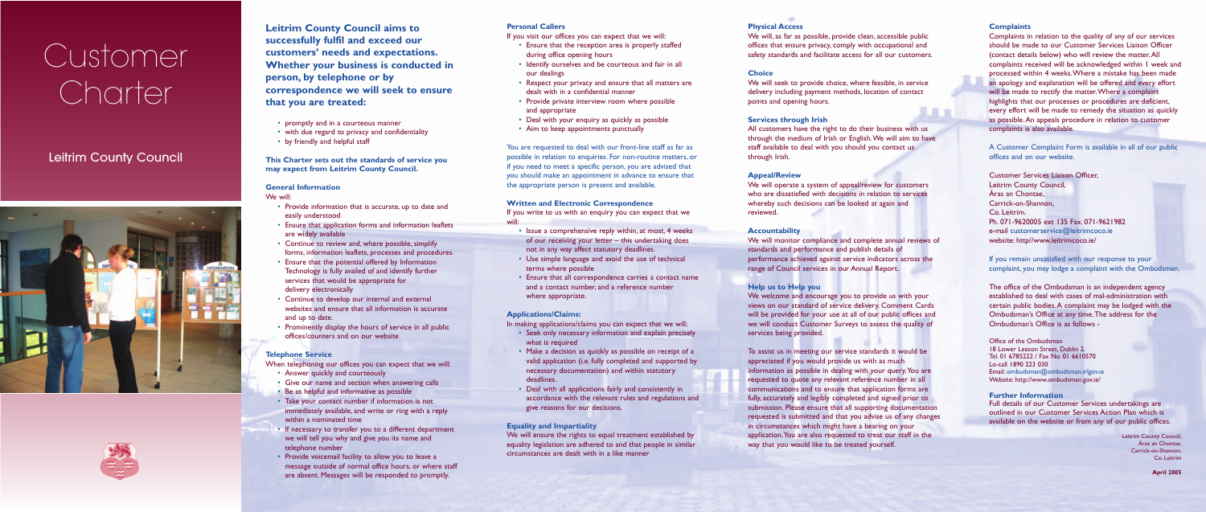**Leitrim County Council aims to successfully fulfil and exceed our customers' needs and expectations. Whether your business is conducted in person, by telephone or by correspondence we will seek to ensure that you are treated:**

- promptly and in a courteous manner
- with due regard to privacy and confidentiality
- by friendly and helpful staff

## **This Charter sets out the standards of service you may expect from Leitrim County Council.**

### **General Information**

We will:

- Provide information that is accurate, up to date and easily understood
- Ensure that application forms and information leaflets are widely available
- Continue to review and, where possible, simplify forms, information leaflets, processes and procedures.
- Ensure that the potential offered by Information Technology is fully availed of and identify further services that would be appropriate for delivery electronically
- Continue to develop our internal and external websites and ensure that all information is accurate and up to date.
- Prominently display the hours of service in all public offices/counters and on our website

### **Telephone Service**

When telephoning our offices you can expect that we will:

- Answer quickly and courteously
- Give our name and section when answering calls
- Be as helpful and informative as possible
- Take your contact number if information is not immediately available, and write or ring with a reply within a nominated time
- If necessary to transfer you to a different department we will tell you why and give you its name and telephone number
- Provide voicemail facility to allow you to leave a message outside of normal office hours, or where staff are absent. Messages will be responded to promptly.

### **Personal Callers**

If you visit our offices you can expect that we will:

- Ensure that the reception area is properly staffed during office opening hours
- Identify ourselves and be courteous and fair in all our dealings
- Respect your privacy and ensure that all matters are dealt with in a confidential manner
- Provide private interview room where possible and appropriate
- Deal with your enquiry as quickly as possible
- Aim to keep appointments punctually

You are requested to deal with our front-line staff as far as possible in relation to enquiries. For non-routine matters, or if you need to meet a specific person, you are advised that you should make an appointment in advance to ensure that the appropriate person is present and available.

### **Written and Electronic Correspondence**

If you write to us with an enquiry you can expect that we will:

- Issue a comprehensive reply within, at most, 4 weeks of our receiving your letter – this undertaking does not in any way affect statutory deadlines.
- Use simple language and avoid the use of technical terms where possible
- Ensure that all correspondence carries a contact name and a contact number, and a reference number where appropriate.

### **Applications/Claims:**

In making applications/claims you can expect that we will:

- Seek only necessary information and explain precisely what is required
- Make a decision as quickly as possible on receipt of a valid application (i.e. fully completed and supported by necessary documentation) and within statutory deadlines.
- Deal with all applications fairly and consistently in accordance with the relevant rules and regulations and give reasons for our decisions.

## **Equality and Impartiality**

We will ensure the rights to equal treatment established by equality legislation are adhered to and that people in similar circumstances are dealt with in a like manner

### **Physical Access**

We will, as far as possible, provide clean, accessible public offices that ensure privacy, comply with occupational and safety standards and facilitate access for all our customers.

**Choice**

We will seek to provide choice, where feasible, in service delivery including payment methods, location of contact points and opening hours.

### **Services through Irish**

All customers have the right to do their business with us through the medium of Irish or English.We will aim to have staff available to deal with you should you contact us through Irish.

【富言

### **Appeal/Review**

We will operate a system of appeal/review for customers who are dissatisfied with decisions in relation to services whereby such decisions can be looked at again and

reviewed.

## **Accountability**

We will monitor compliance and complete annual reviews of standards and performance and publish details of performance achieved against service indicators across the range of Council services in our Annual Report.

### **Help us to Help you**

We welcome and encourage you to provide us with your views on our standard of service delivery. Comment Cards will be provided for your use at all of our public offices and we will conduct Customer Surveys to assess the quality of services being provided.

To assist us in meeting our service standards it would be appreciated if you would provide us with as much information as possible in dealing with your query.You are requested to quote any relevant reference number in all communications and to ensure that application forms are fully, accurately and legibly completed and signed prior to submission. Please ensure that all supporting documentation requested is submitted and that you advise us of any changes in circumstances which might have a bearing on your application.You are also requested to treat our staff in the way that you would like to be treated yourself.

### **Complaints**

Complaints in relation to the quality of any of our services should be made to our Customer Services Liaison Officer (contact details below) who will review the matter.All complaints received will be acknowledged within 1 week and processed within 4 weeks.Where a mistake has been made an apology and explanation will be offered and every effort will be made to rectify the matter.Where a complaint highlights that our processes or procedures are deficient, every effort will be made to remedy the situation as quickly as possible.An appeals procedure in relation to customer complaints is also available.

A Customer Complaint Form is available in all of our public offices and on our website.

Customer Services Liaison Officer, Leitrim County Council, Áras an Chontae, Carrick-on-Shannon, Co. Leitrim. Ph. 071-9620005 ext 135 Fax. 071-9621982 e-mail customerservice@leitrimcoco.ie website: http//www.leitrimcoco.ie/

If you remain unsatisfied with our response to your complaint, you may lodge a complaint with the Ombudsman.

The office of the Ombudsman is an independent agency established to deal with cases of mal-administration with certain public bodies.A complaint may be lodged with the Ombudsman's Office at any time.The address for the Ombudsman's Office is as follows -

Office of the Ombudsman 18 Lower Leeson Street, Dublin 2. Tel. 01 6785222 / Fax No. 01 6610570 Lo-call 1890 223 030 Email: ombudsman@ombudsman.irlgov.ie Website: http://www.ombudsman.gov.ie/

### **Further Information**

Full details of our Customer Services undertakings are outlined in our Customer Services Action Plan which is available on the website or from any of our public offices.

> Leitrim County Council, Áras an Chontae, Carrick-on-Shannon, Co. Leitrim

> > **April 2005**

# Customer Charter

## Leitrim County Council